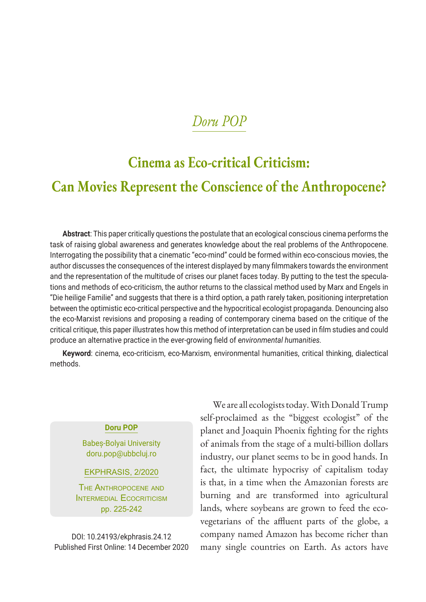# **Cinema as Eco-critical Criticism:**

### **Can Movies Represent the Conscience of the Anthropocene?**

**Abstract**: This paper critically questions the postulate that an ecological conscious cinema performs the task of raising global awareness and generates knowledge about the real problems of the Anthropocene. Interrogating the possibility that a cinematic "eco-mind" could be formed within eco-conscious movies, the author discusses the consequences of the interest displayed by many filmmakers towards the environment and the representation of the multitude of crises our planet faces today. By putting to the test the speculations and methods of eco-criticism, the author returns to the classical method used by Marx and Engels in "Die heilige Familie" and suggests that there is a third option, a path rarely taken, positioning interpretation between the optimistic eco-critical perspective and the hypocritical ecologist propaganda. Denouncing also the eco-Marxist revisions and proposing a reading of contemporary cinema based on the critique of the critical critique, this paper illustrates how this method of interpretation can be used in film studies and could produce an alternative practice in the ever-growing field of e*nvironmental humanities.*

**Keyword**: cinema, eco-criticism, eco-Marxism, environmental humanities, critical thinking, dialectical methods.

#### **Doru POP**

Babeș-Bolyai University doru.pop@ubbcluj.ro

EKPHRASIS, 2/2020

The Anthropocene and INTERMEDIAL ECOCRITICISM pp. 225-242

DOI: 10.24193/ekphrasis.24.12 Published First Online: 14 December 2020

We are all ecologists today. With Donald Trump self-proclaimed as the "biggest ecologist" of the planet and Joaquin Phoenix fighting for the rights of animals from the stage of a multi-billion dollars industry, our planet seems to be in good hands. In fact, the ultimate hypocrisy of capitalism today is that, in a time when the Amazonian forests are burning and are transformed into agricultural lands, where soybeans are grown to feed the ecovegetarians of the affluent parts of the globe, a company named Amazon has become richer than many single countries on Earth. As actors have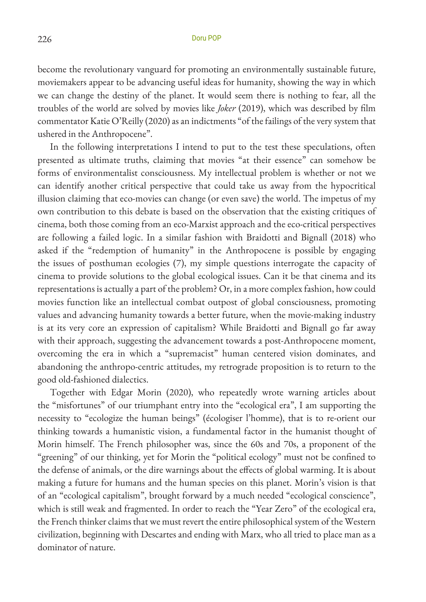become the revolutionary vanguard for promoting an environmentally sustainable future, moviemakers appear to be advancing useful ideas for humanity, showing the way in which we can change the destiny of the planet. It would seem there is nothing to fear, all the troubles of the world are solved by movies like *Joker* (2019), which was described by film commentator Katie O'Reilly (2020) as an indictments "of the failings of the very system that ushered in the Anthropocene".

In the following interpretations I intend to put to the test these speculations, often presented as ultimate truths, claiming that movies "at their essence" can somehow be forms of environmentalist consciousness. My intellectual problem is whether or not we can identify another critical perspective that could take us away from the hypocritical illusion claiming that eco-movies can change (or even save) the world. The impetus of my own contribution to this debate is based on the observation that the existing critiques of cinema, both those coming from an eco-Marxist approach and the eco-critical perspectives are following a failed logic. In a similar fashion with Braidotti and Bignall (2018) who asked if the "redemption of humanity" in the Anthropocene is possible by engaging the issues of posthuman ecologies (7), my simple questions interrogate the capacity of cinema to provide solutions to the global ecological issues. Can it be that cinema and its representations is actually a part of the problem? Or, in a more complex fashion, how could movies function like an intellectual combat outpost of global consciousness, promoting values and advancing humanity towards a better future, when the movie-making industry is at its very core an expression of capitalism? While Braidotti and Bignall go far away with their approach, suggesting the advancement towards a post-Anthropocene moment, overcoming the era in which a "supremacist" human centered vision dominates, and abandoning the anthropo-centric attitudes, my retrograde proposition is to return to the good old-fashioned dialectics.

Together with Edgar Morin (2020), who repeatedly wrote warning articles about the "misfortunes" of our triumphant entry into the "ecological era", I am supporting the necessity to "ecologize the human beings" (écologiser l'homme), that is to re-orient our thinking towards a humanistic vision, a fundamental factor in the humanist thought of Morin himself. The French philosopher was, since the 60s and 70s, a proponent of the "greening" of our thinking, yet for Morin the "political ecology" must not be confined to the defense of animals, or the dire warnings about the effects of global warming. It is about making a future for humans and the human species on this planet. Morin's vision is that of an "ecological capitalism", brought forward by a much needed "ecological conscience", which is still weak and fragmented. In order to reach the "Year Zero" of the ecological era, the French thinker claims that we must revert the entire philosophical system of the Western civilization, beginning with Descartes and ending with Marx, who all tried to place man as a dominator of nature.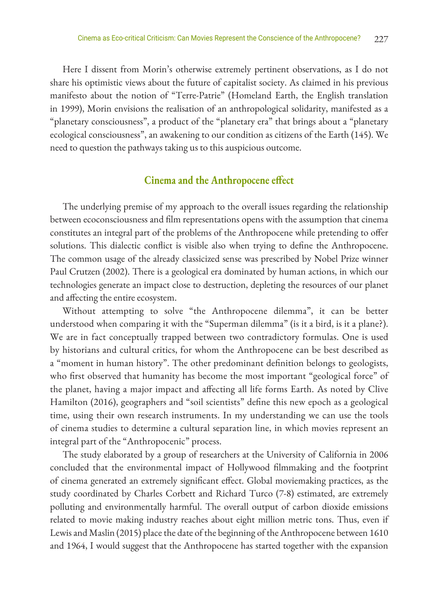Here I dissent from Morin's otherwise extremely pertinent observations, as I do not share his optimistic views about the future of capitalist society. As claimed in his previous manifesto about the notion of "Terre-Patrie" (Homeland Earth, the English translation in 1999), Morin envisions the realisation of an anthropological solidarity, manifested as a "planetary consciousness", a product of the "planetary era" that brings about a "planetary ecological consciousness", an awakening to our condition as citizens of the Earth (145). We need to question the pathways taking us to this auspicious outcome.

#### **Cinema and the Anthropocene effect**

The underlying premise of my approach to the overall issues regarding the relationship between ecoconsciousness and film representations opens with the assumption that cinema constitutes an integral part of the problems of the Anthropocene while pretending to offer solutions. This dialectic conflict is visible also when trying to define the Anthropocene. The common usage of the already classicized sense was prescribed by Nobel Prize winner Paul Crutzen (2002). There is a geological era dominated by human actions, in which our technologies generate an impact close to destruction, depleting the resources of our planet and affecting the entire ecosystem.

Without attempting to solve "the Anthropocene dilemma", it can be better understood when comparing it with the "Superman dilemma" (is it a bird, is it a plane?). We are in fact conceptually trapped between two contradictory formulas. One is used by historians and cultural critics, for whom the Anthropocene can be best described as a "moment in human history". The other predominant definition belongs to geologists, who first observed that humanity has become the most important "geological force" of the planet, having a major impact and affecting all life forms Earth. As noted by Clive Hamilton (2016), geographers and "soil scientists" define this new epoch as a geological time, using their own research instruments. In my understanding we can use the tools of cinema studies to determine a cultural separation line, in which movies represent an integral part of the "Anthropocenic" process.

The study elaborated by a group of researchers at the University of California in 2006 concluded that the environmental impact of Hollywood filmmaking and the footprint of cinema generated an extremely significant effect. Global moviemaking practices, as the study coordinated by Charles Corbett and Richard Turco (7-8) estimated, are extremely polluting and environmentally harmful. The overall output of carbon dioxide emissions related to movie making industry reaches about eight million metric tons. Thus, even if Lewis and Maslin (2015) place the date of the beginning of the Anthropocene between 1610 and 1964, I would suggest that the Anthropocene has started together with the expansion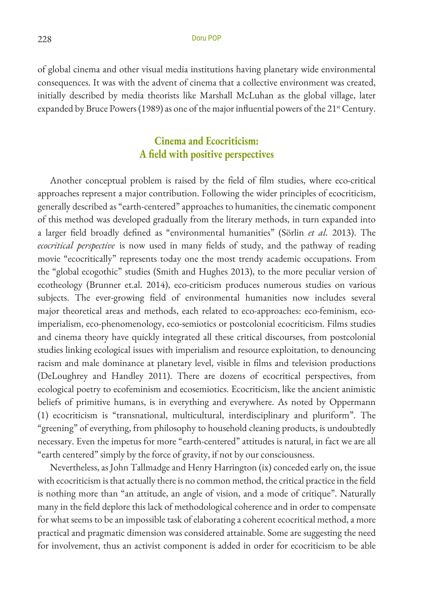of global cinema and other visual media institutions having planetary wide environmental consequences. It was with the advent of cinema that a collective environment was created, initially described by media theorists like Marshall McLuhan as the global village, later expanded by Bruce Powers (1989) as one of the major influential powers of the 21<sup>st</sup> Century.

### **Cinema and Ecocriticism: A field with positive perspectives**

Another conceptual problem is raised by the field of film studies, where eco-critical approaches represent a major contribution. Following the wider principles of ecocriticism, generally described as "earth-centered" approaches to humanities, the cinematic component of this method was developed gradually from the literary methods, in turn expanded into a larger field broadly defined as "environmental humanities" (Sörlin *et al.* 2013). The *ecocritical perspective* is now used in many fields of study, and the pathway of reading movie "ecocritically" represents today one the most trendy academic occupations. From the "global ecogothic" studies (Smith and Hughes 2013), to the more peculiar version of ecotheology (Brunner et.al. 2014), eco-criticism produces numerous studies on various subjects. The ever-growing field of environmental humanities now includes several major theoretical areas and methods, each related to eco-approaches: eco-feminism, ecoimperialism, eco-phenomenology, eco-semiotics or postcolonial ecocriticism. Films studies and cinema theory have quickly integrated all these critical discourses, from postcolonial studies linking ecological issues with imperialism and resource exploitation, to denouncing racism and male dominance at planetary level, visible in films and television productions (DeLoughrey and Handley 2011). There are dozens of ecocritical perspectives, from ecological poetry to ecofeminism and ecosemiotics. Ecocriticism, like the ancient animistic beliefs of primitive humans, is in everything and everywhere. As noted by Oppermann (1) ecocriticism is "transnational, multicultural, interdisciplinary and pluriform". The "greening" of everything, from philosophy to household cleaning products, is undoubtedly necessary. Even the impetus for more "earth-centered" attitudes is natural, in fact we are all "earth centered" simply by the force of gravity, if not by our consciousness.

Nevertheless, as John Tallmadge and Henry Harrington (ix) conceded early on, the issue with ecocriticism is that actually there is no common method, the critical practice in the field is nothing more than "an attitude, an angle of vision, and a mode of critique". Naturally many in the field deplore this lack of methodological coherence and in order to compensate for what seems to be an impossible task of elaborating a coherent ecocritical method, a more practical and pragmatic dimension was considered attainable. Some are suggesting the need for involvement, thus an activist component is added in order for ecocriticism to be able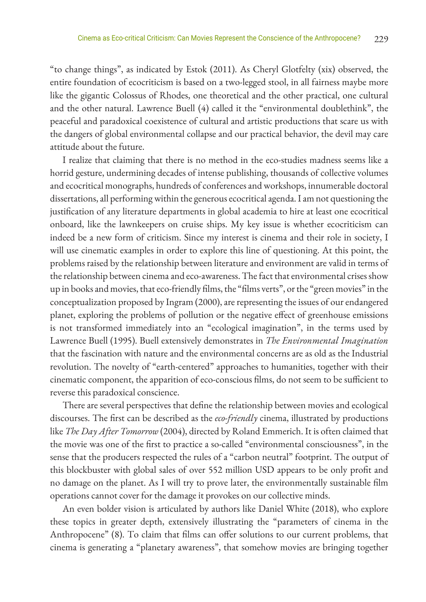"to change things", as indicated by Estok (2011). As Cheryl Glotfelty (xix) observed, the entire foundation of ecocriticism is based on a two-legged stool, in all fairness maybe more like the gigantic Colossus of Rhodes, one theoretical and the other practical, one cultural and the other natural. Lawrence Buell (4) called it the "environmental doublethink", the peaceful and paradoxical coexistence of cultural and artistic productions that scare us with the dangers of global environmental collapse and our practical behavior, the devil may care attitude about the future.

I realize that claiming that there is no method in the eco-studies madness seems like a horrid gesture, undermining decades of intense publishing, thousands of collective volumes and ecocritical monographs, hundreds of conferences and workshops, innumerable doctoral dissertations, all performing within the generous ecocritical agenda. I am not questioning the justification of any literature departments in global academia to hire at least one ecocritical onboard, like the lawnkeepers on cruise ships. My key issue is whether ecocriticism can indeed be a new form of criticism. Since my interest is cinema and their role in society, I will use cinematic examples in order to explore this line of questioning. At this point, the problems raised by the relationship between literature and environment are valid in terms of the relationship between cinema and eco-awareness. The fact that environmental crises show up in books and movies, that eco-friendly films, the "films verts", or the "green movies" in the conceptualization proposed by Ingram (2000), are representing the issues of our endangered planet, exploring the problems of pollution or the negative effect of greenhouse emissions is not transformed immediately into an "ecological imagination", in the terms used by Lawrence Buell (1995). Buell extensively demonstrates in *The Environmental Imagination* that the fascination with nature and the environmental concerns are as old as the Industrial revolution. The novelty of "earth-centered" approaches to humanities, together with their cinematic component, the apparition of eco-conscious films, do not seem to be sufficient to reverse this paradoxical conscience.

There are several perspectives that define the relationship between movies and ecological discourses. The first can be described as the *eco-friendly* cinema, illustrated by productions like *The Day After Tomorrow* (2004), directed by Roland Emmerich. It is often claimed that the movie was one of the first to practice a so-called "environmental consciousness", in the sense that the producers respected the rules of a "carbon neutral" footprint. The output of this blockbuster with global sales of over 552 million USD appears to be only profit and no damage on the planet. As I will try to prove later, the environmentally sustainable film operations cannot cover for the damage it provokes on our collective minds.

An even bolder vision is articulated by authors like Daniel White (2018), who explore these topics in greater depth, extensively illustrating the "parameters of cinema in the Anthropocene" (8). To claim that films can offer solutions to our current problems, that cinema is generating a "planetary awareness", that somehow movies are bringing together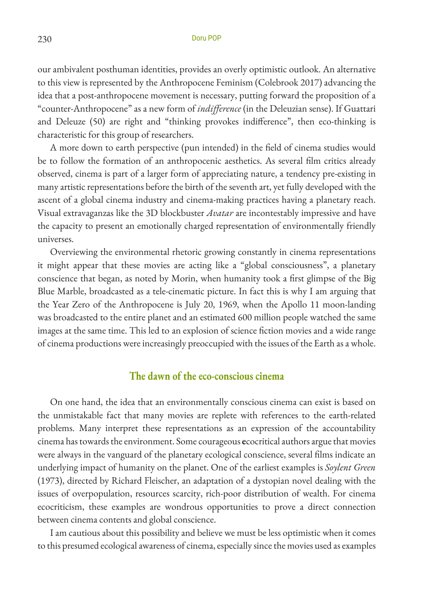our ambivalent posthuman identities, provides an overly optimistic outlook. An alternative to this view is represented by the Anthropocene Feminism (Colebrook 2017) advancing the idea that a post-anthropocene movement is necessary, putting forward the proposition of a "counter-Anthropocene" as a new form of *indifference* (in the Deleuzian sense). If Guattari and Deleuze (50) are right and "thinking provokes indifference", then eco-thinking is characteristic for this group of researchers.

A more down to earth perspective (pun intended) in the field of cinema studies would be to follow the formation of an anthropocenic aesthetics. As several film critics already observed, cinema is part of a larger form of appreciating nature, a tendency pre-existing in many artistic representations before the birth of the seventh art, yet fully developed with the ascent of a global cinema industry and cinema-making practices having a planetary reach. Visual extravaganzas like the 3D blockbuster *Avatar* are incontestably impressive and have the capacity to present an emotionally charged representation of environmentally friendly universes.

Overviewing the environmental rhetoric growing constantly in cinema representations it might appear that these movies are acting like a "global consciousness", a planetary conscience that began, as noted by Morin, when humanity took a first glimpse of the Big Blue Marble, broadcasted as a tele-cinematic picture. In fact this is why I am arguing that the Year Zero of the Anthropocene is July 20, 1969, when the Apollo 11 moon-landing was broadcasted to the entire planet and an estimated 600 million people watched the same images at the same time. This led to an explosion of science fiction movies and a wide range of cinema productions were increasingly preoccupied with the issues of the Earth as a whole.

#### **The dawn of the eco-conscious cinema**

On one hand, the idea that an environmentally conscious cinema can exist is based on the unmistakable fact that many movies are replete with references to the earth-related problems. Many interpret these representations as an expression of the accountability cinema has towards the environment. Some courageous **e**cocritical authors argue that movies were always in the vanguard of the planetary ecological conscience, several films indicate an underlying impact of humanity on the planet. One of the earliest examples is *Soylent Green*  (1973), directed by Richard Fleischer, an adaptation of a dystopian novel dealing with the issues of overpopulation, resources scarcity, rich-poor distribution of wealth. For cinema ecocriticism, these examples are wondrous opportunities to prove a direct connection between cinema contents and global conscience.

I am cautious about this possibility and believe we must be less optimistic when it comes to this presumed ecological awareness of cinema, especially since the movies used as examples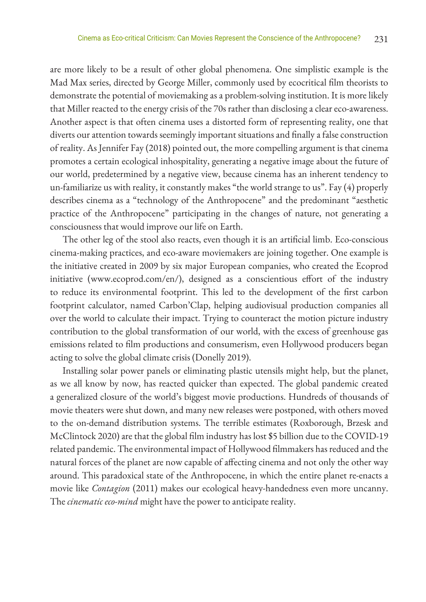are more likely to be a result of other global phenomena. One simplistic example is the Mad Max series, directed by George Miller, commonly used by ecocritical film theorists to demonstrate the potential of moviemaking as a problem-solving institution. It is more likely that Miller reacted to the energy crisis of the 70s rather than disclosing a clear eco-awareness. Another aspect is that often cinema uses a distorted form of representing reality, one that diverts our attention towards seemingly important situations and finally a false construction of reality. As Jennifer Fay (2018) pointed out, the more compelling argument is that cinema promotes a certain ecological inhospitality, generating a negative image about the future of our world, predetermined by a negative view, because cinema has an inherent tendency to un-familiarize us with reality, it constantly makes "the world strange to us". Fay (4) properly describes cinema as a "technology of the Anthropocene" and the predominant "aesthetic practice of the Anthropocene" participating in the changes of nature, not generating a consciousness that would improve our life on Earth.

The other leg of the stool also reacts, even though it is an artificial limb. Eco-conscious cinema-making practices, and eco-aware moviemakers are joining together. One example is the initiative created in 2009 by six major European companies, who created the Ecoprod initiative (www.ecoprod.com/en/), designed as a conscientious effort of the industry to reduce its environmental footprint. This led to the development of the first carbon footprint calculator, named Carbon'Clap, helping audiovisual production companies all over the world to calculate their impact. Trying to counteract the motion picture industry contribution to the global transformation of our world, with the excess of greenhouse gas emissions related to film productions and consumerism, even Hollywood producers began acting to solve the global climate crisis (Donelly 2019).

Installing solar power panels or eliminating plastic utensils might help, but the planet, as we all know by now, has reacted quicker than expected. The global pandemic created a generalized closure of the world's biggest movie productions. Hundreds of thousands of movie theaters were shut down, and many new releases were postponed, with others moved to the on-demand distribution systems. The terrible estimates (Roxborough, Brzesk and McClintock 2020) are that the global film industry has lost \$5 billion due to the COVID-19 related pandemic. The environmental impact of Hollywood filmmakers has reduced and the natural forces of the planet are now capable of affecting cinema and not only the other way around. This paradoxical state of the Anthropocene, in which the entire planet re-enacts a movie like *Contagion* (2011) makes our ecological heavy-handedness even more uncanny. The *cinematic eco-mind* might have the power to anticipate reality.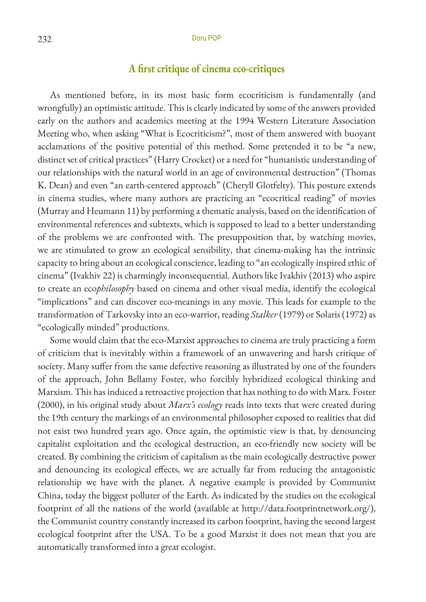#### **A first critique of cinema eco-critiques**

As mentioned before, in its most basic form ecocriticism is fundamentally (and wrongfully) an optimistic attitude. This is clearly indicated by some of the answers provided early on the authors and academics meeting at the 1994 Western Literature Association Meeting who, when asking "What is Ecocriticism?", most of them answered with buoyant acclamations of the positive potential of this method. Some pretended it to be "a new, distinct set of critical practices" (Harry Crocket) or a need for "humanistic understanding of our relationships with the natural world in an age of environmental destruction" (Thomas K. Dean) and even "an earth-centered approach" (Cheryll Glotfelty). This posture extends in cinema studies, where many authors are practicing an "ecocritical reading" of movies (Murray and Heumann 11) by performing a thematic analysis, based on the identification of environmental references and subtexts, which is supposed to lead to a better understanding of the problems we are confronted with. The presupposition that, by watching movies, we are stimulated to grow an ecological sensibility, that cinema-making has the intrinsic capacity to bring about an ecological conscience, leading to "an ecologically inspired ethic of cinema" (Ivakhiv 22) is charmingly inconsequential. Authors like Ivakhiv (2013) who aspire to create an eco*philosophy* based on cinema and other visual media, identify the ecological "implications" and can discover eco-meanings in any movie. This leads for example to the transformation of Tarkovsky into an eco-warrior, reading *Stalker* (1979) or Solaris (1972) as "ecologically minded" productions.

Some would claim that the eco-Marxist approaches to cinema are truly practicing a form of criticism that is inevitably within a framework of an unwavering and harsh critique of society. Many suffer from the same defective reasoning as illustrated by one of the founders of the approach, John Bellamy Foster, who forcibly hybridized ecological thinking and Marxism. This has induced a retroactive projection that has nothing to do with Marx. Foster (2000), in his original study about *Marx's ecology* reads into texts that were created during the 19th century the markings of an environmental philosopher exposed to realities that did not exist two hundred years ago. Once again, the optimistic view is that, by denouncing capitalist exploitation and the ecological destruction, an eco-friendly new society will be created. By combining the criticism of capitalism as the main ecologically destructive power and denouncing its ecological effects, we are actually far from reducing the antagonistic relationship we have with the planet. A negative example is provided by Communist China, today the biggest polluter of the Earth. As indicated by the studies on the ecological footprint of all the nations of the world (available at http://data.footprintnetwork.org/), the Communist country constantly increased its carbon footprint, having the second largest ecological footprint after the USA. To be a good Marxist it does not mean that you are automatically transformed into a great ecologist.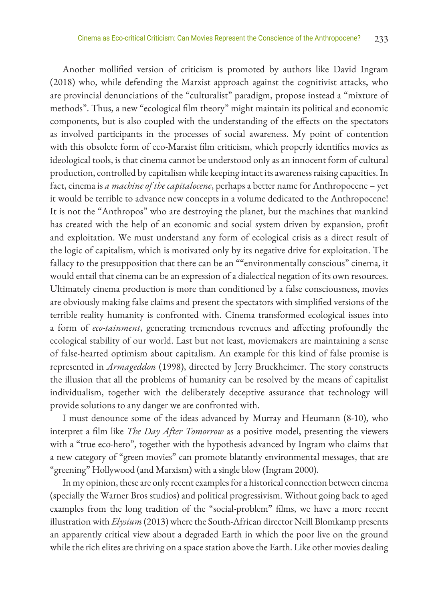Another mollified version of criticism is promoted by authors like David Ingram (2018) who, while defending the Marxist approach against the cognitivist attacks, who are provincial denunciations of the "culturalist" paradigm, propose instead a "mixture of methods". Thus, a new "ecological film theory" might maintain its political and economic components, but is also coupled with the understanding of the effects on the spectators as involved participants in the processes of social awareness. My point of contention with this obsolete form of eco-Marxist film criticism, which properly identifies movies as ideological tools, is that cinema cannot be understood only as an innocent form of cultural production, controlled by capitalism while keeping intact its awareness raising capacities. In fact, cinema is *a machine of the capitalocene*, perhaps a better name for Anthropocene – yet it would be terrible to advance new concepts in a volume dedicated to the Anthropocene! It is not the "Anthropos" who are destroying the planet, but the machines that mankind has created with the help of an economic and social system driven by expansion, profit and exploitation. We must understand any form of ecological crisis as a direct result of the logic of capitalism, which is motivated only by its negative drive for exploitation. The fallacy to the presupposition that there can be an ""environmentally conscious" cinema, it would entail that cinema can be an expression of a dialectical negation of its own resources. Ultimately cinema production is more than conditioned by a false consciousness, movies are obviously making false claims and present the spectators with simplified versions of the terrible reality humanity is confronted with. Cinema transformed ecological issues into a form of *eco-tainment*, generating tremendous revenues and affecting profoundly the ecological stability of our world. Last but not least, moviemakers are maintaining a sense of false-hearted optimism about capitalism. An example for this kind of false promise is represented in *Armageddon* (1998), directed by Jerry Bruckheimer. The story constructs the illusion that all the problems of humanity can be resolved by the means of capitalist individualism, together with the deliberately deceptive assurance that technology will provide solutions to any danger we are confronted with.

I must denounce some of the ideas advanced by Murray and Heumann (8-10), who interpret a film like *The Day After Tomorrow* as a positive model, presenting the viewers with a "true eco-hero", together with the hypothesis advanced by Ingram who claims that a new category of "green movies" can promote blatantly environmental messages, that are "greening" Hollywood (and Marxism) with a single blow (Ingram 2000).

In my opinion, these are only recent examples for a historical connection between cinema (specially the Warner Bros studios) and political progressivism. Without going back to aged examples from the long tradition of the "social-problem" films, we have a more recent illustration with *Elysium* (2013) where the South-African director Neill Blomkamp presents an apparently critical view about a degraded Earth in which the poor live on the ground while the rich elites are thriving on a space station above the Earth. Like other movies dealing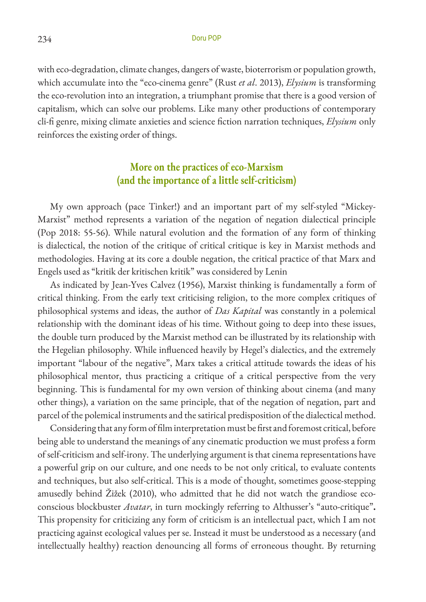with eco-degradation, climate changes, dangers of waste, bioterrorism or population growth, which accumulate into the "eco-cinema genre" (Rust *et al*. 2013), *Elysium* is transforming the eco-revolution into an integration, a triumphant promise that there is a good version of capitalism, which can solve our problems. Like many other productions of contemporary cli-fi genre, mixing climate anxieties and science fiction narration techniques, *Elysium* only reinforces the existing order of things.

#### **More on the practices of eco-Marxism (and the importance of a little self-criticism)**

My own approach (pace Tinker!) and an important part of my self-styled "Mickey-Marxist" method represents a variation of the negation of negation dialectical principle (Pop 2018: 55-56). While natural evolution and the formation of any form of thinking is dialectical, the notion of the critique of critical critique is key in Marxist methods and methodologies. Having at its core a double negation, the critical practice of that Marx and Engels used as "kritik der kritischen kritik" was considered by Lenin

As indicated by Jean-Yves Calvez (1956), Marxist thinking is fundamentally a form of critical thinking. From the early text criticising religion, to the more complex critiques of philosophical systems and ideas, the author of *Das Kapital* was constantly in a polemical relationship with the dominant ideas of his time. Without going to deep into these issues, the double turn produced by the Marxist method can be illustrated by its relationship with the Hegelian philosophy. While influenced heavily by Hegel's dialectics, and the extremely important "labour of the negative", Marx takes a critical attitude towards the ideas of his philosophical mentor, thus practicing a critique of a critical perspective from the very beginning. This is fundamental for my own version of thinking about cinema (and many other things), a variation on the same principle, that of the negation of negation, part and parcel of the polemical instruments and the satirical predisposition of the dialectical method.

Considering that any form of film interpretation must be first and foremost critical, before being able to understand the meanings of any cinematic production we must profess a form of self-criticism and self-irony. The underlying argument is that cinema representations have a powerful grip on our culture, and one needs to be not only critical, to evaluate contents and techniques, but also self-critical. This is a mode of thought, sometimes goose-stepping amusedly behind Žižek (2010), who admitted that he did not watch the grandiose ecoconscious blockbuster *Avatar*, in turn mockingly referring to Althusser's "auto-critique"**.**  This propensity for criticizing any form of criticism is an intellectual pact, which I am not practicing against ecological values per se. Instead it must be understood as a necessary (and intellectually healthy) reaction denouncing all forms of erroneous thought. By returning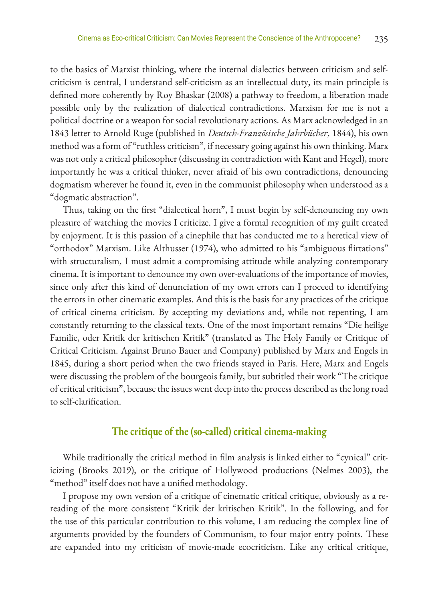to the basics of Marxist thinking, where the internal dialectics between criticism and selfcriticism is central, I understand self-criticism as an intellectual duty, its main principle is defined more coherently by Roy Bhaskar (2008) a pathway to freedom, a liberation made possible only by the realization of dialectical contradictions. Marxism for me is not a political doctrine or a weapon for social revolutionary actions. As Marx acknowledged in an 1843 letter to Arnold Ruge (published in *Deutsch-Französische Jahrbücher*, 1844), his own method was a form of "ruthless criticism", if necessary going against his own thinking. Marx was not only a critical philosopher (discussing in contradiction with Kant and Hegel), more importantly he was a critical thinker, never afraid of his own contradictions, denouncing dogmatism wherever he found it, even in the communist philosophy when understood as a "dogmatic abstraction".

Thus, taking on the first "dialectical horn", I must begin by self-denouncing my own pleasure of watching the movies I criticize. I give a formal recognition of my guilt created by enjoyment. It is this passion of a cinephile that has conducted me to a heretical view of "orthodox" Marxism. Like Althusser (1974), who admitted to his "ambiguous flirtations" with structuralism, I must admit a compromising attitude while analyzing contemporary cinema. It is important to denounce my own over-evaluations of the importance of movies, since only after this kind of denunciation of my own errors can I proceed to identifying the errors in other cinematic examples. And this is the basis for any practices of the critique of critical cinema criticism. By accepting my deviations and, while not repenting, I am constantly returning to the classical texts. One of the most important remains "Die heilige Familie, oder Kritik der kritischen Kritik" (translated as The Holy Family or Critique of Critical Criticism. Against Bruno Bauer and Company) published by Marx and Engels in 1845, during a short period when the two friends stayed in Paris. Here, Marx and Engels were discussing the problem of the bourgeois family, but subtitled their work "The critique of critical criticism", because the issues went deep into the process described as the long road to self-clarification.

#### **The critique of the (so-called) critical cinema-making**

While traditionally the critical method in film analysis is linked either to "cynical" criticizing (Brooks 2019), or the critique of Hollywood productions (Nelmes 2003), the "method" itself does not have a unified methodology.

I propose my own version of a critique of cinematic critical critique, obviously as a rereading of the more consistent "Kritik der kritischen Kritik". In the following, and for the use of this particular contribution to this volume, I am reducing the complex line of arguments provided by the founders of Communism, to four major entry points. These are expanded into my criticism of movie-made ecocriticism. Like any critical critique,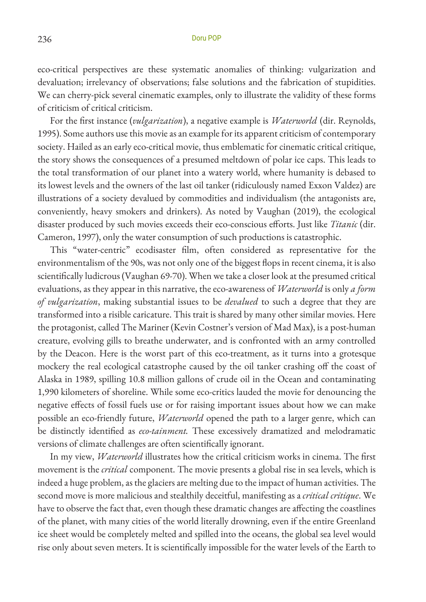eco-critical perspectives are these systematic anomalies of thinking: vulgarization and devaluation; irrelevancy of observations; false solutions and the fabrication of stupidities. We can cherry-pick several cinematic examples, only to illustrate the validity of these forms of criticism of critical criticism.

For the first instance (*vulgarization*), a negative example is *Waterworld* (dir. Reynolds, 1995). Some authors use this movie as an example for its apparent criticism of contemporary society. Hailed as an early eco-critical movie, thus emblematic for cinematic critical critique, the story shows the consequences of a presumed meltdown of polar ice caps. This leads to the total transformation of our planet into a watery world, where humanity is debased to its lowest levels and the owners of the last oil tanker (ridiculously named Exxon Valdez) are illustrations of a society devalued by commodities and individualism (the antagonists are, conveniently, heavy smokers and drinkers). As noted by Vaughan (2019), the ecological disaster produced by such movies exceeds their eco-conscious efforts. Just like *Titanic* (dir. Cameron, 1997), only the water consumption of such productions is catastrophic.

This "water-centric" ecodisaster film, often considered as representative for the environmentalism of the 90s, was not only one of the biggest flops in recent cinema, it is also scientifically ludicrous (Vaughan 69-70). When we take a closer look at the presumed critical evaluations, as they appear in this narrative, the eco-awareness of *Waterworld* is only *a form of vulgarization*, making substantial issues to be *devalued* to such a degree that they are transformed into a risible caricature. This trait is shared by many other similar movies. Here the protagonist, called The Mariner (Kevin Costner's version of Mad Max), is a post-human creature, evolving gills to breathe underwater, and is confronted with an army controlled by the Deacon. Here is the worst part of this eco-treatment, as it turns into a grotesque mockery the real ecological catastrophe caused by the oil tanker crashing off the coast of Alaska in 1989, spilling 10.8 million gallons of crude oil in the Ocean and contaminating 1,990 kilometers of shoreline. While some eco-critics lauded the movie for denouncing the negative effects of fossil fuels use or for raising important issues about how we can make possible an eco-friendly future, *Waterworld* opened the path to a larger genre, which can be distinctly identified as *eco-tainment.* These excessively dramatized and melodramatic versions of climate challenges are often scientifically ignorant.

In my view, *Waterworld* illustrates how the critical criticism works in cinema. The first movement is the *critical* component. The movie presents a global rise in sea levels, which is indeed a huge problem, as the glaciers are melting due to the impact of human activities. The second move is more malicious and stealthily deceitful, manifesting as a *critical critique*. We have to observe the fact that, even though these dramatic changes are affecting the coastlines of the planet, with many cities of the world literally drowning, even if the entire Greenland ice sheet would be completely melted and spilled into the oceans, the global sea level would rise only about seven meters. It is scientifically impossible for the water levels of the Earth to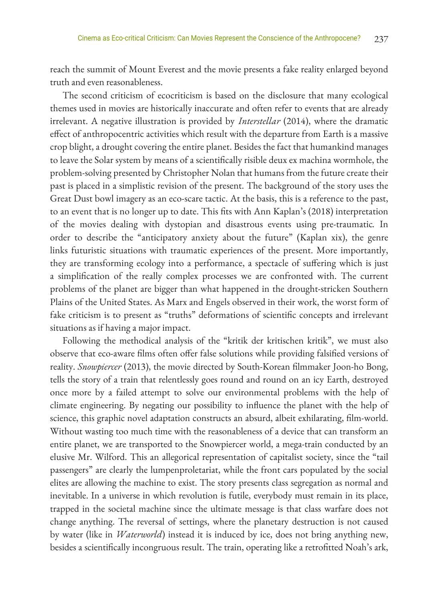reach the summit of Mount Everest and the movie presents a fake reality enlarged beyond truth and even reasonableness.

The second criticism of ecocriticism is based on the disclosure that many ecological themes used in movies are historically inaccurate and often refer to events that are already irrelevant. A negative illustration is provided by *Interstellar* (2014), where the dramatic effect of anthropocentric activities which result with the departure from Earth is a massive crop blight, a drought covering the entire planet. Besides the fact that humankind manages to leave the Solar system by means of a scientifically risible deux ex machina wormhole, the problem-solving presented by Christopher Nolan that humans from the future create their past is placed in a simplistic revision of the present. The background of the story uses the Great Dust bowl imagery as an eco-scare tactic. At the basis, this is a reference to the past, to an event that is no longer up to date. This fits with Ann Kaplan's (2018) interpretation of the movies dealing with dystopian and disastrous events using pre-traumatic*.* In order to describe the "anticipatory anxiety about the future" (Kaplan xix), the genre links futuristic situations with traumatic experiences of the present. More importantly, they are transforming ecology into a performance, a spectacle of suffering which is just a simplification of the really complex processes we are confronted with. The current problems of the planet are bigger than what happened in the drought-stricken Southern Plains of the United States. As Marx and Engels observed in their work, the worst form of fake criticism is to present as "truths" deformations of scientific concepts and irrelevant situations as if having a major impact.

Following the methodical analysis of the "kritik der kritischen kritik", we must also observe that eco-aware films often offer false solutions while providing falsified versions of reality. *Snowpiercer* (2013), the movie directed by South-Korean filmmaker Joon-ho Bong, tells the story of a train that relentlessly goes round and round on an icy Earth, destroyed once more by a failed attempt to solve our environmental problems with the help of climate engineering. By negating our possibility to influence the planet with the help of science, this graphic novel adaptation constructs an absurd, albeit exhilarating, film-world. Without wasting too much time with the reasonableness of a device that can transform an entire planet, we are transported to the Snowpiercer world, a mega-train conducted by an elusive Mr. Wilford. This an allegorical representation of capitalist society, since the "tail passengers" are clearly the lumpenproletariat, while the front cars populated by the social elites are allowing the machine to exist. The story presents class segregation as normal and inevitable. In a universe in which revolution is futile, everybody must remain in its place, trapped in the societal machine since the ultimate message is that class warfare does not change anything. The reversal of settings, where the planetary destruction is not caused by water (like in *Waterworld*) instead it is induced by ice, does not bring anything new, besides a scientifically incongruous result. The train, operating like a retrofitted Noah's ark,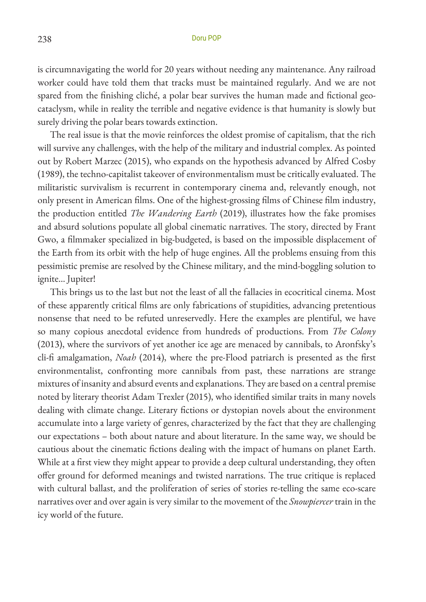is circumnavigating the world for 20 years without needing any maintenance. Any railroad worker could have told them that tracks must be maintained regularly. And we are not spared from the finishing cliché, a polar bear survives the human made and fictional geocataclysm, while in reality the terrible and negative evidence is that humanity is slowly but surely driving the polar bears towards extinction.

The real issue is that the movie reinforces the oldest promise of capitalism, that the rich will survive any challenges, with the help of the military and industrial complex. As pointed out by Robert Marzec (2015), who expands on the hypothesis advanced by Alfred Cosby (1989), the techno-capitalist takeover of environmentalism must be critically evaluated. The militaristic survivalism is recurrent in contemporary cinema and, relevantly enough, not only present in American films. One of the highest-grossing films of Chinese film industry, the production entitled *The Wandering Earth* (2019), illustrates how the fake promises and absurd solutions populate all global cinematic narratives. The story, directed by Frant Gwo, a filmmaker specialized in big-budgeted, is based on the impossible displacement of the Earth from its orbit with the help of huge engines. All the problems ensuing from this pessimistic premise are resolved by the Chinese military, and the mind-boggling solution to ignite... Jupiter!

This brings us to the last but not the least of all the fallacies in ecocritical cinema. Most of these apparently critical films are only fabrications of stupidities, advancing pretentious nonsense that need to be refuted unreservedly. Here the examples are plentiful, we have so many copious anecdotal evidence from hundreds of productions. From *The Colony* (2013), where the survivors of yet another ice age are menaced by cannibals, to Aronfsky's cli-fi amalgamation, *Noah* (2014), where the pre-Flood patriarch is presented as the first environmentalist, confronting more cannibals from past, these narrations are strange mixtures of insanity and absurd events and explanations. They are based on a central premise noted by literary theorist Adam Trexler (2015), who identified similar traits in many novels dealing with climate change. Literary fictions or dystopian novels about the environment accumulate into a large variety of genres, characterized by the fact that they are challenging our expectations – both about nature and about literature. In the same way, we should be cautious about the cinematic fictions dealing with the impact of humans on planet Earth. While at a first view they might appear to provide a deep cultural understanding, they often offer ground for deformed meanings and twisted narrations. The true critique is replaced with cultural ballast, and the proliferation of series of stories re-telling the same eco-scare narratives over and over again is very similar to the movement of the *Snowpiercer* train in the icy world of the future.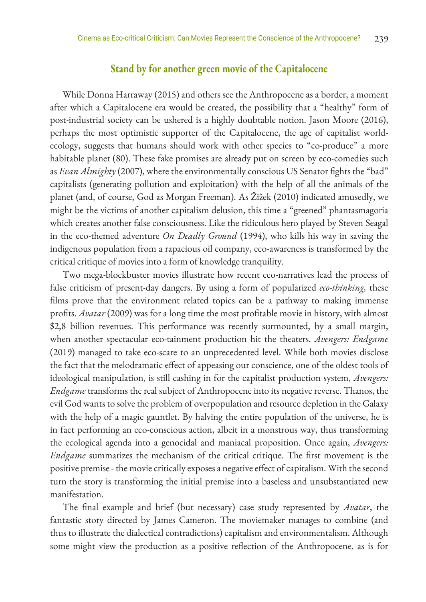#### **Stand by for another green movie of the Capitalocene**

While Donna Harraway (2015) and others see the Anthropocene as a border, a moment after which a Capitalocene era would be created, the possibility that a "healthy" form of post-industrial society can be ushered is a highly doubtable notion. Jason Moore (2016), perhaps the most optimistic supporter of the Capitalocene, the age of capitalist worldecology, suggests that humans should work with other species to "co-produce" a more habitable planet (80). These fake promises are already put on screen by eco-comedies such as *Evan Almighty* (2007), where the environmentally conscious US Senator fights the "bad" capitalists (generating pollution and exploitation) with the help of all the animals of the planet (and, of course, God as Morgan Freeman). As Žižek (2010) indicated amusedly, we might be the victims of another capitalism delusion, this time a "greened" phantasmagoria which creates another false consciousness. Like the ridiculous hero played by Steven Seagal in the eco-themed adventure *On Deadly Ground* (1994), who kills his way in saving the indigenous population from a rapacious oil company, eco-awareness is transformed by the critical critique of movies into a form of knowledge tranquility.

Two mega-blockbuster movies illustrate how recent eco-narratives lead the process of false criticism of present-day dangers. By using a form of popularized *eco-thinking,* these films prove that the environment related topics can be a pathway to making immense profits. *Avatar* (2009) was for a long time the most profitable movie in history, with almost \$2,8 billion revenues. This performance was recently surmounted, by a small margin, when another spectacular eco-tainment production hit the theaters. *Avengers: Endgame*  (2019) managed to take eco-scare to an unprecedented level. While both movies disclose the fact that the melodramatic effect of appeasing our conscience, one of the oldest tools of ideological manipulation, is still cashing in for the capitalist production system, *Avengers: Endgame* transforms the real subject of Anthropocene into its negative reverse. Thanos, the evil God wants to solve the problem of overpopulation and resource depletion in the Galaxy with the help of a magic gauntlet. By halving the entire population of the universe, he is in fact performing an eco-conscious action, albeit in a monstrous way, thus transforming the ecological agenda into a genocidal and maniacal proposition. Once again, *Avengers: Endgame* summarizes the mechanism of the critical critique. The first movement is the positive premise - the movie critically exposes a negative effect of capitalism. With the second turn the story is transforming the initial premise into a baseless and unsubstantiated new manifestation.

The final example and brief (but necessary) case study represented by *Avatar*, the fantastic story directed by James Cameron. The moviemaker manages to combine (and thus to illustrate the dialectical contradictions) capitalism and environmentalism. Although some might view the production as a positive reflection of the Anthropocene, as is for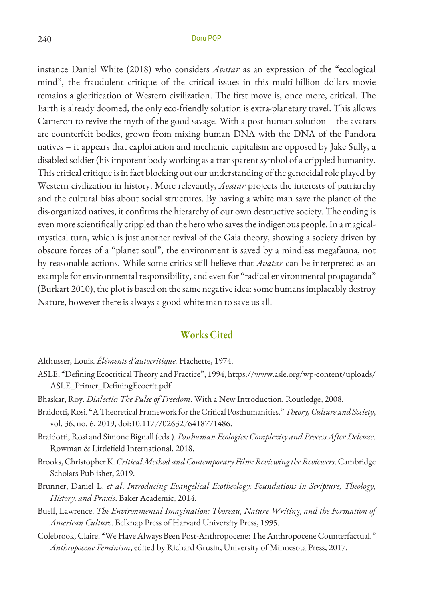instance Daniel White (2018) who considers *Avatar* as an expression of the "ecological mind", the fraudulent critique of the critical issues in this multi-billion dollars movie remains a glorification of Western civilization. The first move is, once more, critical. The Earth is already doomed, the only eco-friendly solution is extra-planetary travel. This allows Cameron to revive the myth of the good savage. With a post-human solution – the avatars are counterfeit bodies, grown from mixing human DNA with the DNA of the Pandora natives – it appears that exploitation and mechanic capitalism are opposed by Jake Sully, a disabled soldier (his impotent body working as a transparent symbol of a crippled humanity. This critical critique is in fact blocking out our understanding of the genocidal role played by Western civilization in history. More relevantly, *Avatar* projects the interests of patriarchy and the cultural bias about social structures. By having a white man save the planet of the dis-organized natives, it confirms the hierarchy of our own destructive society. The ending is even more scientifically crippled than the hero who saves the indigenous people. In a magicalmystical turn, which is just another revival of the Gaia theory, showing a society driven by obscure forces of a "planet soul", the environment is saved by a mindless megafauna, not by reasonable actions. While some critics still believe that *Avatar* can be interpreted as an example for environmental responsibility, and even for "radical environmental propaganda" (Burkart 2010), the plot is based on the same negative idea: some humans implacably destroy Nature, however there is always a good white man to save us all.

#### **Works Cited**

Althusser, Louis. *Éléments d'autocritique.* Hachette, 1974.

- ASLE, "Defining EcocriticalTheory and Practice", 1994, https://www.asle.org/wp-content/uploads/ ASLE\_Primer\_DefiningEcocrit.pdf.
- Bhaskar, Roy. *Dialectic: The Pulse of Freedom*. With a New Introduction. Routledge, 2008.
- Braidotti, Rosi. "ATheoretical Framework forthe Critical Posthumanities." *Theory, Culture and Society*, vol. 36, no. 6, 2019, doi:10.1177/0263276418771486.
- Braidotti, Rosiand Simone Bignall (eds.). *Posthuman Ecologies: Complexity and Process After Deleuze*. Rowman & Littlefield International, 2018.
- Brooks, ChristopherK. *CriticalMethod and Contemporary Film: Reviewing theReviewers*. Cambridge Scholars Publisher, 2019.
- Brunner, Daniel L, *et al*. *Introducing Evangelical Ecotheology: Foundations in Scripture, Theology, History, and Praxis*. Baker Academic, 2014.
- Buell, Lawrence. *The Environmental Imagination: Thoreau, Nature Writing, and the Formation of American Culture*. Belknap Press of Harvard University Press, 1995.
- Colebrook, Claire. "We Have Always Been Post-Anthropocene: The Anthropocene Counterfactual." *Anthropocene Feminism*, edited by Richard Grusin, University of Minnesota Press, 2017.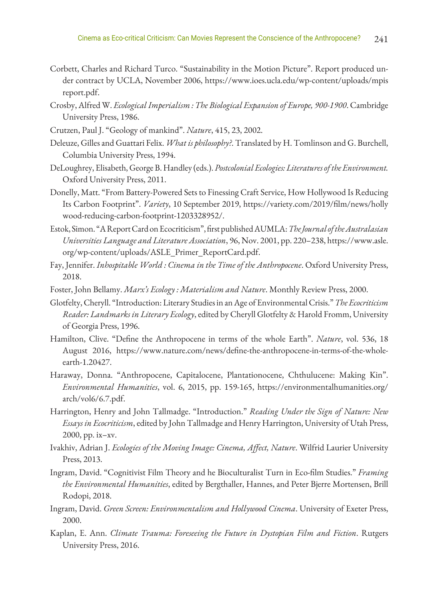- Corbett, Charles and Richard Turco. "Sustainability in the Motion Picture". Report produced under contract by UCLA, November 2006, https://www.ioes.ucla.edu/wp-content/uploads/mpis report.pdf.
- Crosby, Alfred W. *EcologicalImperialism : The Biological Expansion of Europe, 900-1900*. Cambridge University Press, 1986.
- Crutzen, Paul J. "Geology of mankind". *Nature*, 415, 23, 2002.
- Deleuze, Gillesand Guattari Felix. *What is philosophy?*. Translated by H. Tomlinson and G. Burchell, Columbia University Press, 1994.
- DeLoughrey, Elisabeth, George B. Handley (eds.). *Postcolonial Ecologies: Literaturesofthe Environment.*  Oxford University Press, 2011.
- Donelly, Matt. "From Battery-Powered Sets to Finessing Craft Service, How Hollywood Is Reducing Its Carbon Footprint". *Variety*, 10 September 2019, https://variety.com/2019/film/news/holly wood-reducing-carbon-footprint-1203328952/.
- Estok, Simon. "AReportCard onEcocriticism", first publishedAUMLA: *TheJournaloftheAustralasian Universities Language and Literature Association*, 96, Nov. 2001, pp. 220–238, https://www.asle. org/wp-content/uploads/ASLE\_Primer\_ReportCard.pdf.
- Fay, Jennifer. *Inhospitable World : Cinema in the Time of the Anthropocene*. Oxford University Press, 2018.
- Foster, John Bellamy. *Marx's Ecology : Materialism and Nature*. Monthly Review Press, 2000.
- Glotfelty, Cheryll. "Introduction: Literary Studiesin anAge of Environmental Crisis." *The Ecocriticism Reader: Landmarks in Literary Ecology*, edited by Cheryll Glotfelty & Harold Fromm, University of Georgia Press, 1996.
- Hamilton, Clive. "Define the Anthropocene in terms of the whole Earth". *Nature*, vol. 536, 18 August 2016, https://www.nature.com/news/define-the-anthropocene-in-terms-of-the-wholeearth-1.20427.
- Haraway, Donna. "Anthropocene, Capitalocene, Plantationocene, Chthulucene: Making Kin". *Environmental Humanities*, vol. 6, 2015, pp. 159-165, https://environmentalhumanities.org/ arch/vol6/6.7.pdf.
- Harrington, Henry and John Tallmadge. "Introduction." *Reading Under the Sign of Nature: New Essays in Ecocriticism*, edited by John Tallmadgeand Henry Harrington, University of Utah Press, 2000, pp. ix–xv.
- Ivakhiv, Adrian J. *Ecologies of the Moving Image: Cinema, Affect, Nature*. Wilfrid Laurier University Press, 2013.
- Ingram, David. "Cognitivist Film Theory and he Bioculturalist Turn in Eco-film Studies." *Framing the Environmental Humanities*, edited by Bergthaller, Hannes, and Peter Bjerre Mortensen, Brill Rodopi, 2018.
- Ingram, David. *Green Screen: Environmentalism and Hollywood Cinema*. University of Exeter Press, 2000.
- Kaplan, E. Ann. *Climate Trauma: Foreseeing the Future in Dystopian Film and Fiction*. Rutgers University Press, 2016.